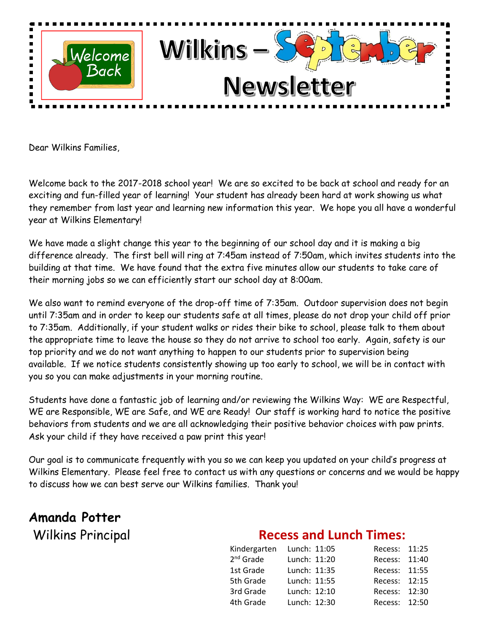

Dear Wilkins Families,

Welcome back to the 2017-2018 school year! We are so excited to be back at school and ready for an exciting and fun-filled year of learning! Your student has already been hard at work showing us what they remember from last year and learning new information this year. We hope you all have a wonderful year at Wilkins Elementary!

We have made a slight change this year to the beginning of our school day and it is making a big difference already. The first bell will ring at 7:45am instead of 7:50am, which invites students into the building at that time. We have found that the extra five minutes allow our students to take care of their morning jobs so we can efficiently start our school day at 8:00am.

We also want to remind everyone of the drop-off time of 7:35am. Outdoor supervision does not begin until 7:35am and in order to keep our students safe at all times, please do not drop your child off prior to 7:35am. Additionally, if your student walks or rides their bike to school, please talk to them about the appropriate time to leave the house so they do not arrive to school too early. Again, safety is our top priority and we do not want anything to happen to our students prior to supervision being available. If we notice students consistently showing up too early to school, we will be in contact with you so you can make adjustments in your morning routine.

Students have done a fantastic job of learning and/or reviewing the Wilkins Way: WE are Respectful, WE are Responsible, WE are Safe, and WE are Ready! Our staff is working hard to notice the positive behaviors from students and we are all acknowledging their positive behavior choices with paw prints. Ask your child if they have received a paw print this year!

Our goal is to communicate frequently with you so we can keep you updated on your child's progress at Wilkins Elementary. Please feel free to contact us with any questions or concerns and we would be happy to discuss how we can best serve our Wilkins families. Thank you!

# **Amanda Potter**

### Wilkins Principal **Recess and Lunch Times:**

| Kindergarten Lunch: 11:05 |              | Recess: 11:25 |  |
|---------------------------|--------------|---------------|--|
| $2nd$ Grade               | Lunch: 11:20 | Recess: 11:40 |  |
| 1st Grade                 | Lunch: 11:35 | Recess: 11:55 |  |
| 5th Grade                 | Lunch: 11:55 | Recess: 12:15 |  |
| 3rd Grade                 | Lunch: 12:10 | Recess: 12:30 |  |
| 4th Grade                 | Lunch: 12:30 | Recess: 12:50 |  |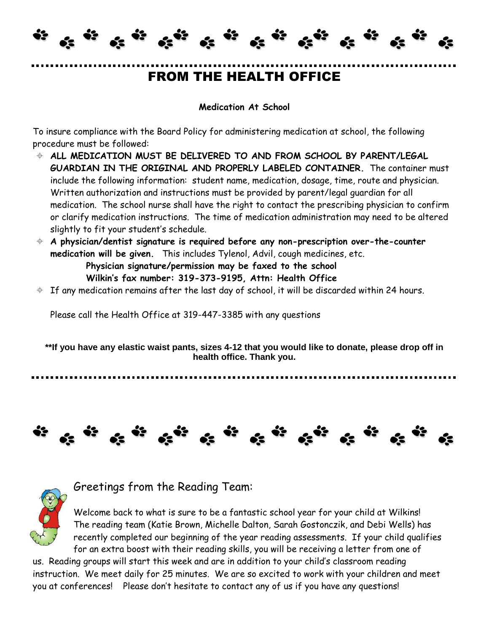### FROM THE HEALTH OFFICE

 $\ddot{v}$   $\ddot{v}$   $\ddot{v}$ 

#### **Medication At School**

To insure compliance with the Board Policy for administering medication at school, the following procedure must be followed:

62

- **ALL MEDICATION MUST BE DELIVERED TO AND FROM SCHOOL BY PARENT/LEGAL GUARDIAN IN THE ORIGINAL AND PROPERLY LABELED CONTAINER.** The container must include the following information: student name, medication, dosage, time, route and physician. Written authorization and instructions must be provided by parent/legal guardian for all medication. The school nurse shall have the right to contact the prescribing physician to confirm or clarify medication instructions. The time of medication administration may need to be altered slightly to fit your student's schedule.
- **A physician/dentist signature is required before any non-prescription over-the-counter medication will be given.** This includes Tylenol, Advil, cough medicines, etc.

 **Physician signature/permission may be faxed to the school Wilkin's fax number: 319-373-9195, Attn: Health Office**

 $\div$  If any medication remains after the last day of school, it will be discarded within 24 hours.

Please call the Health Office at 319-447-3385 with any questions

**\*\*If you have any elastic waist pants, sizes 4-12 that you would like to donate, please drop off in health office. Thank you.**

# $\alpha^{(i)}\in \mathbb{R}^{N}$



#### Greetings from the Reading Team:

Welcome back to what is sure to be a fantastic school year for your child at Wilkins! The reading team (Katie Brown, Michelle Dalton, Sarah Gostonczik, and Debi Wells) has recently completed our beginning of the year reading assessments. If your child qualifies for an extra boost with their reading skills, you will be receiving a letter from one of

us. Reading groups will start this week and are in addition to your child's classroom reading instruction. We meet daily for 25 minutes. We are so excited to work with your children and meet you at conferences! Please don't hesitate to contact any of us if you have any questions!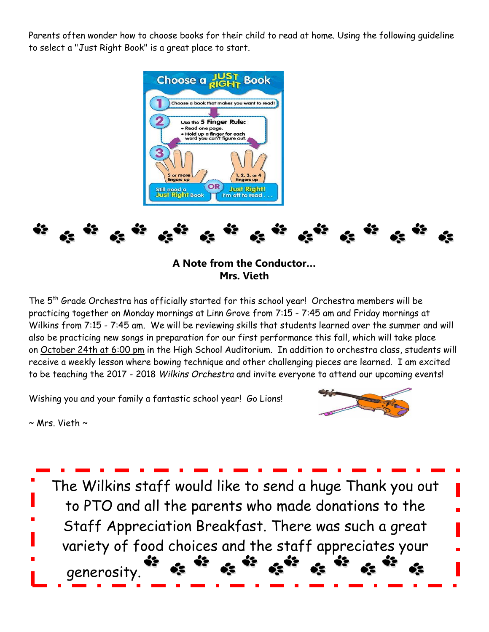Parents often wonder how to choose books for their child to read at home. Using the following guideline to select a "Just Right Book" is a great place to start.



**A Note from the Conductor… Mrs. Vieth**

The 5th Grade Orchestra has officially started for this school year! Orchestra members will be practicing together on Monday mornings at Linn Grove from 7:15 - 7:45 am and Friday mornings at Wilkins from 7:15 - 7:45 am. We will be reviewing skills that students learned over the summer and will also be practicing new songs in preparation for our first performance this fall, which will take place on October 24th at 6:00 pm in the High School Auditorium. In addition to orchestra class, students will receive a weekly lesson where bowing technique and other challenging pieces are learned. I am excited to be teaching the 2017 - 2018 *Wilkins Orchestra* and invite everyone to attend our upcoming events!

Wishing you and your family a fantastic school year! Go Lions!



 $\sim$  Mrs. Vieth  $\sim$ 

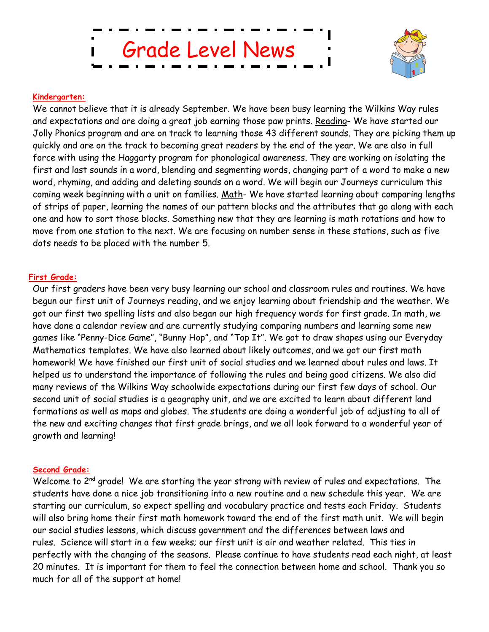Grade Level News



#### **Kindergarten:**

We cannot believe that it is already September. We have been busy learning the Wilkins Way rules and expectations and are doing a great job earning those paw prints. Reading- We have started our Jolly Phonics program and are on track to learning those 43 different sounds. They are picking them up quickly and are on the track to becoming great readers by the end of the year. We are also in full force with using the Haggarty program for phonological awareness. They are working on isolating the first and last sounds in a word, blending and segmenting words, changing part of a word to make a new word, rhyming, and adding and deleting sounds on a word. We will begin our Journeys curriculum this coming week beginning with a unit on families. Math- We have started learning about comparing lengths of strips of paper, learning the names of our pattern blocks and the attributes that go along with each one and how to sort those blocks. Something new that they are learning is math rotations and how to move from one station to the next. We are focusing on number sense in these stations, such as five dots needs to be placed with the number 5.

#### **First Grade:**

Our first graders have been very busy learning our school and classroom rules and routines. We have begun our first unit of Journeys reading, and we enjoy learning about friendship and the weather. We got our first two spelling lists and also began our high frequency words for first grade. In math, we have done a calendar review and are currently studying comparing numbers and learning some new games like "Penny-Dice Game", "Bunny Hop", and "Top It". We got to draw shapes using our Everyday Mathematics templates. We have also learned about likely outcomes, and we got our first math homework! We have finished our first unit of social studies and we learned about rules and laws. It helped us to understand the importance of following the rules and being good citizens. We also did many reviews of the Wilkins Way schoolwide expectations during our first few days of school. Our second unit of social studies is a geography unit, and we are excited to learn about different land formations as well as maps and globes. The students are doing a wonderful job of adjusting to all of the new and exciting changes that first grade brings, and we all look forward to a wonderful year of growth and learning!

#### **Second Grade:**

Welcome to 2<sup>nd</sup> grade! We are starting the year strong with review of rules and expectations. The students have done a nice job transitioning into a new routine and a new schedule this year. We are starting our curriculum, so expect spelling and vocabulary practice and tests each Friday. Students will also bring home their first math homework toward the end of the first math unit. We will begin our social studies lessons, which discuss government and the differences between laws and rules. Science will start in a few weeks; our first unit is air and weather related. This ties in perfectly with the changing of the seasons. Please continue to have students read each night, at least 20 minutes. It is important for them to feel the connection between home and school. Thank you so much for all of the support at home!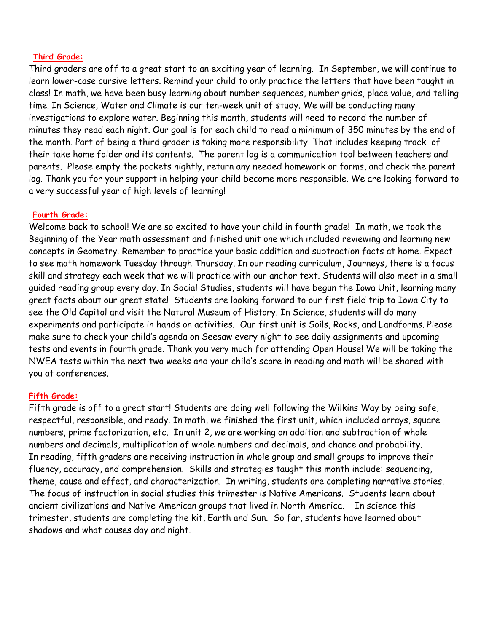#### **Third Grade:**

Third graders are off to a great start to an exciting year of learning. In September, we will continue to learn lower-case cursive letters. Remind your child to only practice the letters that have been taught in class! In math, we have been busy learning about number sequences, number grids, place value, and telling time. In Science, Water and Climate is our ten-week unit of study. We will be conducting many investigations to explore water. Beginning this month, students will need to record the number of minutes they read each night. Our goal is for each child to read a minimum of 350 minutes by the end of the month. Part of being a third grader is taking more responsibility. That includes keeping track of their take home folder and its contents. The parent log is a communication tool between teachers and parents. Please empty the pockets nightly, return any needed homework or forms, and check the parent log. Thank you for your support in helping your child become more responsible. We are looking forward to a very successful year of high levels of learning!

#### **Fourth Grade:**

Welcome back to school! We are so excited to have your child in fourth grade! In math, we took the Beginning of the Year math assessment and finished unit one which included reviewing and learning new concepts in Geometry. Remember to practice your basic addition and subtraction facts at home. Expect to see math homework Tuesday through Thursday. In our reading curriculum, Journeys, there is a focus skill and strategy each week that we will practice with our anchor text. Students will also meet in a small guided reading group every day. In Social Studies, students will have begun the Iowa Unit, learning many great facts about our great state! Students are looking forward to our first field trip to Iowa City to see the Old Capitol and visit the Natural Museum of History. In Science, students will do many experiments and participate in hands on activities. Our first unit is Soils, Rocks, and Landforms. Please make sure to check your child's agenda on Seesaw every night to see daily assignments and upcoming tests and events in fourth grade. Thank you very much for attending Open House! We will be taking the NWEA tests within the next two weeks and your child's score in reading and math will be shared with you at conferences.

#### **Fifth Grade:**

Fifth grade is off to a great start! Students are doing well following the Wilkins Way by being safe, respectful, responsible, and ready. In math, we finished the first unit, which included arrays, square numbers, prime factorization, etc. In unit 2, we are working on addition and subtraction of whole numbers and decimals, multiplication of whole numbers and decimals, and chance and probability. In reading, fifth graders are receiving instruction in whole group and small groups to improve their fluency, accuracy, and comprehension. Skills and strategies taught this month include: sequencing, theme, cause and effect, and characterization. In writing, students are completing narrative stories. The focus of instruction in social studies this trimester is Native Americans. Students learn about ancient civilizations and Native American groups that lived in North America. In science this trimester, students are completing the kit, Earth and Sun. So far, students have learned about shadows and what causes day and night.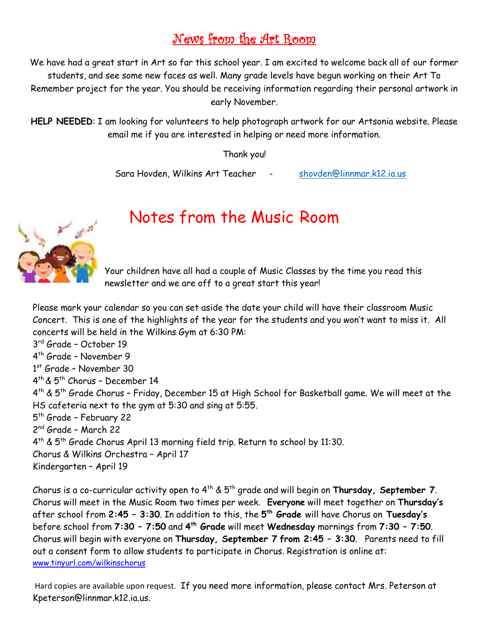### News from the Art Room

We have had a great start in Art so far this school year. I am excited to welcome back all of our former students, and see some new faces as well. Many grade levels have begun working on their Art To Remember project for the year. You should be receiving information regarding their personal artwork in early November.

**HELP NEEDED**: I am looking for volunteers to help photograph artwork for our Artsonia website. Please email me if you are interested in helping or need more information.

Thank you!

Sara Hovden, Wilkins Art Teacher - [shovden@linnmar.k12.ia.us](mailto:shovden@linnmar.k12.ia.us)



## Notes from the Music Room

Your children have all had a couple of Music Classes by the time you read this newsletter and we are off to a great start this year!

Please mark your calendar so you can set aside the date your child will have their classroom Music Concert. This is one of the highlights of the year for the students and you won't want to miss it. All concerts will be held in the Wilkins Gym at 6:30 PM:

3 rd Grade – October 19 4 th Grade – November 9 1 st Grade – November 30 4 th & 5th Chorus – December 14 4 th & 5th Grade Chorus – Friday, December 15 at High School for Basketball game. We will meet at the HS cafeteria next to the gym at 5:30 and sing at 5:55. 5<sup>th</sup> Grade - February 22 2 nd Grade – March 22 4<sup>th</sup> & 5<sup>th</sup> Grade Chorus April 13 morning field trip. Return to school by 11:30. Chorus & Wilkins Orchestra – April 17 Kindergarten – April 19

Chorus is a co-curricular activity open to 4th & 5th grade and will begin on **Thursday, September 7**. Chorus will meet in the Music Room two times per week. **Everyone** will meet together on **Thursday's** after school from **2:45 – 3:30**. In addition to this, the **5 th Grade** will have Chorus on **Tuesday's** before school from **7:30 – 7:50** and **4 th Grade** will meet **Wednesday** mornings from **7:30 – 7:50**. Chorus will begin with everyone on **Thursday, September 7 from 2:45 – 3:30**. Parents need to fill out a consent form to allow students to participate in Chorus. Registration is online at: [www.tinyurl.com/wilkinschorus](http://www.tinyurl.com/wilkinschorus)

Hard copies are available upon request. If you need more information, please contact Mrs. Peterson at Kpeterson@linnmar.k12.ia.us.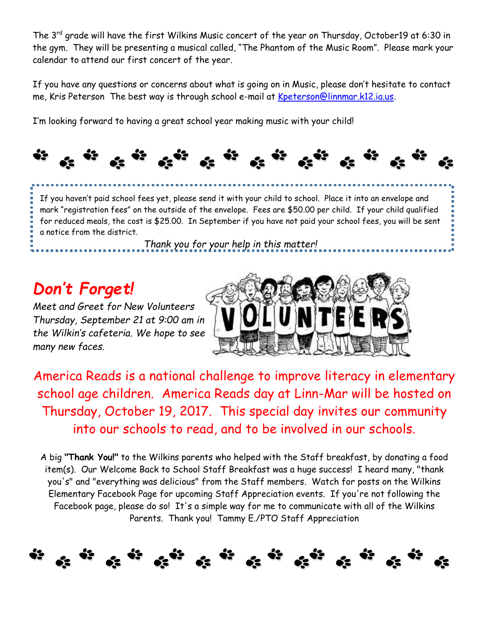The 3<sup>rd</sup> grade will have the first Wilkins Music concert of the year on Thursday, October19 at 6:30 in the gym. They will be presenting a musical called, "The Phantom of the Music Room". Please mark your calendar to attend our first concert of the year.

If you have any questions or concerns about what is going on in Music, please don't hesitate to contact me, Kris Peterson The best way is through school e-mail at [Kpeterson@linnmar.k12.ia.us.](mailto:Kpeterson@linnmar.k12.ia.us)

I'm looking forward to having a great school year making music with your child!



 If you haven't paid school fees yet, please send it with your child to school. Place it into an envelope and mark "registration fees" on the outside of the envelope. Fees are \$50.00 per child. If your child qualified for reduced meals, the cost is \$25.00. In September if you have not paid your school fees, you will be sent a notice from the district.

*Thank you for your help in this matter!*

# *Don't Forget!*

*Meet and Greet for New Volunteers Thursday, September 21 at 9:00 am in the Wilkin's cafeteria. We hope to see many new faces.* 



America Reads is a national challenge to improve literacy in elementary school age children. America Reads day at Linn-Mar will be hosted on Thursday, October 19, 2017. This special day invites our community into our schools to read, and to be involved in our schools.

A big **"Thank You!"** to the Wilkins parents who helped with the Staff breakfast, by donating a food item(s). Our Welcome Back to School Staff Breakfast was a huge success! I heard many, "thank you's" and "everything was delicious" from the Staff members. Watch for posts on the Wilkins Elementary Facebook Page for upcoming Staff Appreciation events. If you're not following the Facebook page, please do so! It's a simple way for me to communicate with all of the Wilkins Parents. Thank you! Tammy E./PTO Staff Appreciation